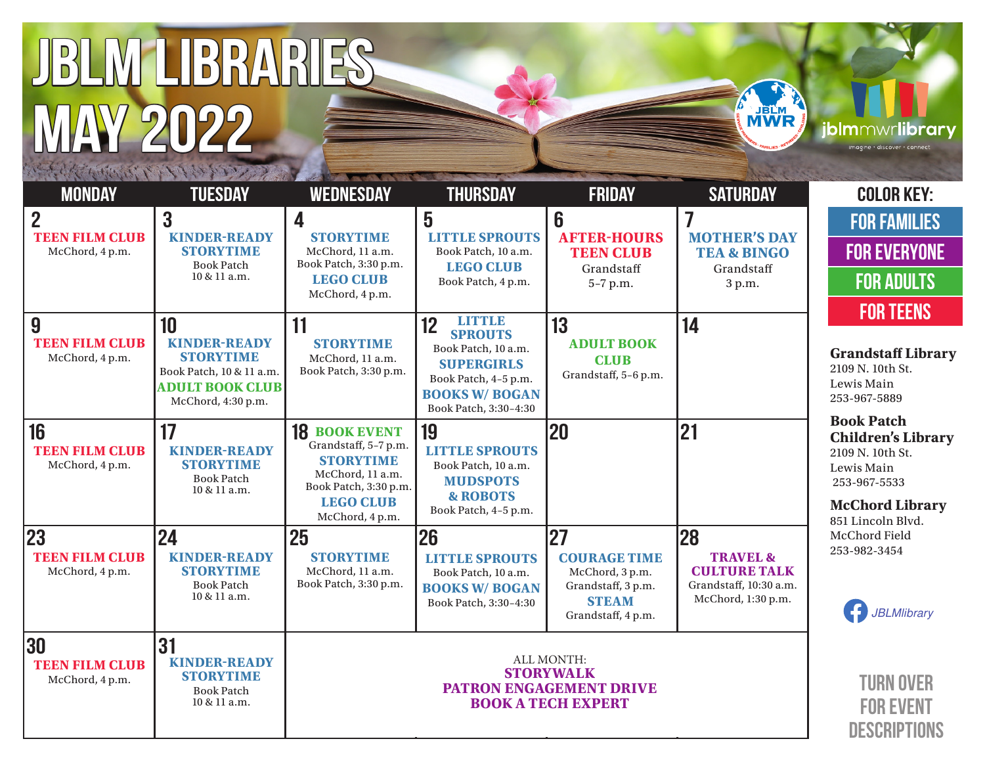# JBLM LIBRARIES MAY 2022





**Chord Library** 851 Lincoln Blvd. hord Field 253-982-3454



TURN OVER FOR EVENT **DESCRIPTIONS** 

| $\overline{2}$<br><b>TEEN FILM CLUB</b><br>McChord, 4 p.m. | 3<br><b>KINDER-READY</b><br><b>STORYTIME</b><br><b>Book Patch</b><br>10 & 11 a.m.                                         | $\overline{\mathbf{4}}$<br><b>STORYTIME</b><br>McChord, 11 a.m.<br>Book Patch, 3:30 p.m.<br><b>LEGO CLUB</b><br>McChord, 4 p.m.                      | 5<br><b>LITTLE SPROUTS</b><br>Book Patch, 10 a.m.<br><b>LEGO CLUB</b><br>Book Patch, 4 p.m.                                                          | 6<br><b>AFTER-HOURS</b><br><b>TEEN CLUB</b><br>Grandstaff<br>5-7 p.m.                                    | $\overline{\mathbf{I}}$<br><b>MOTHER'S DAY</b><br><b>TEA &amp; BINGO</b><br>Grandstaff<br>3 p.m. |
|------------------------------------------------------------|---------------------------------------------------------------------------------------------------------------------------|------------------------------------------------------------------------------------------------------------------------------------------------------|------------------------------------------------------------------------------------------------------------------------------------------------------|----------------------------------------------------------------------------------------------------------|--------------------------------------------------------------------------------------------------|
| 9<br><b>TEEN FILM CLUB</b><br>McChord, 4 p.m.              | 10<br><b>KINDER-READY</b><br><b>STORYTIME</b><br>Book Patch, 10 & 11 a.m.<br><b>ADULT BOOK CLUB</b><br>McChord, 4:30 p.m. | 11<br><b>STORYTIME</b><br>McChord, 11 a.m.<br>Book Patch, 3:30 p.m.                                                                                  | LITTLE<br>12<br><b>SPROUTS</b><br>Book Patch, 10 a.m.<br><b>SUPERGIRLS</b><br>Book Patch, 4-5 p.m.<br><b>BOOKS W/ BOGAN</b><br>Book Patch, 3:30-4:30 | 13<br><b>ADULT BOOK</b><br><b>CLUB</b><br>Grandstaff, 5-6 p.m.                                           | 14                                                                                               |
| 16<br><b>TEEN FILM CLUB</b><br>McChord, 4 p.m.             | 17<br><b>KINDER-READY</b><br><b>STORYTIME</b><br><b>Book Patch</b><br>10 & 11 a.m.                                        | <b>18 BOOK EVENT</b><br>Grandstaff, 5-7 p.m.<br><b>STORYTIME</b><br>McChord, 11 a.m.<br>Book Patch, 3:30 p.m.<br><b>LEGO CLUB</b><br>McChord, 4 p.m. | 19<br><b>LITTLE SPROUTS</b><br>Book Patch, 10 a.m.<br><b>MUDSPOTS</b><br><b>&amp; ROBOTS</b><br>Book Patch, 4-5 p.m.                                 | 20                                                                                                       | 21                                                                                               |
| 23<br><b>TEEN FILM CLUB</b><br>McChord, 4 p.m.             | 24<br><b>KINDER-READY</b><br><b>STORYTIME</b><br><b>Book Patch</b><br>10 & 11 a.m.                                        | 25<br><b>STORYTIME</b><br>McChord, 11 a.m.<br>Book Patch, 3:30 p.m.                                                                                  | 26<br><b>LITTLE SPROUTS</b><br>Book Patch, 10 a.m.<br><b>BOOKS W/ BOGAN</b><br>Book Patch, 3:30-4:30                                                 | 27<br><b>COURAGE TIME</b><br>McChord, 3 p.m.<br>Grandstaff, 3 p.m.<br><b>STEAM</b><br>Grandstaff, 4 p.m. | 28<br><b>TRAVEL &amp;</b><br><b>CULTURE TALK</b><br>Grandstaff, 10:30 a.m.<br>McChord, 1:30 p.m. |
| 30<br><b>TEEN FILM CLUB</b><br>McChord, 4 p.m.             | 31<br><b>KINDER-READY</b><br><b>STORYTIME</b><br><b>Book Patch</b><br>10 & 11 a.m.                                        | ALL MONTH:<br><b>STORYWALK</b><br><b>PATRON ENGAGEMENT DRIVE</b><br><b>BOOK A TECH EXPERT</b>                                                        |                                                                                                                                                      |                                                                                                          |                                                                                                  |